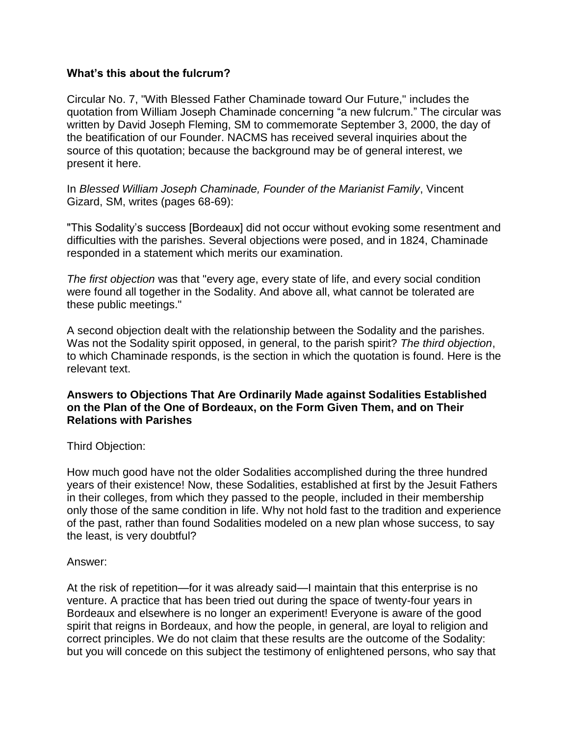## **What's this about the fulcrum?**

Circular No. 7, "With Blessed Father Chaminade toward Our Future," includes the quotation from William Joseph Chaminade concerning "a new fulcrum." The circular was written by David Joseph Fleming, SM to commemorate September 3, 2000, the day of the beatification of our Founder. NACMS has received several inquiries about the source of this quotation; because the background may be of general interest, we present it here.

In *Blessed William Joseph Chaminade, Founder of the Marianist Family*, Vincent Gizard, SM, writes (pages 68-69):

"This Sodality's success [Bordeaux] did not occur without evoking some resentment and difficulties with the parishes. Several objections were posed, and in 1824, Chaminade responded in a statement which merits our examination.

*The first objection* was that "every age, every state of life, and every social condition were found all together in the Sodality. And above all, what cannot be tolerated are these public meetings."

A second objection dealt with the relationship between the Sodality and the parishes. Was not the Sodality spirit opposed, in general, to the parish spirit? *The third objection*, to which Chaminade responds, is the section in which the quotation is found. Here is the relevant text.

## **Answers to Objections That Are Ordinarily Made against Sodalities Established on the Plan of the One of Bordeaux, on the Form Given Them, and on Their Relations with Parishes**

Third Objection:

How much good have not the older Sodalities accomplished during the three hundred years of their existence! Now, these Sodalities, established at first by the Jesuit Fathers in their colleges, from which they passed to the people, included in their membership only those of the same condition in life. Why not hold fast to the tradition and experience of the past, rather than found Sodalities modeled on a new plan whose success, to say the least, is very doubtful?

## Answer:

At the risk of repetition—for it was already said—I maintain that this enterprise is no venture. A practice that has been tried out during the space of twenty-four years in Bordeaux and elsewhere is no longer an experiment! Everyone is aware of the good spirit that reigns in Bordeaux, and how the people, in general, are loyal to religion and correct principles. We do not claim that these results are the outcome of the Sodality: but you will concede on this subject the testimony of enlightened persons, who say that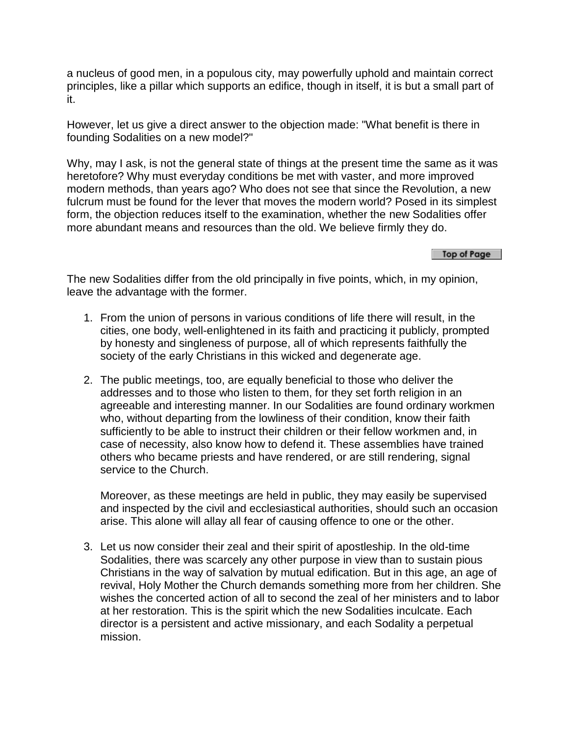a nucleus of good men, in a populous city, may powerfully uphold and maintain correct principles, like a pillar which supports an edifice, though in itself, it is but a small part of it.

However, let us give a direct answer to the objection made: "What benefit is there in founding Sodalities on a new model?"

Why, may I ask, is not the general state of things at the present time the same as it was heretofore? Why must everyday conditions be met with vaster, and more improved modern methods, than years ago? Who does not see that since the Revolution, a new fulcrum must be found for the lever that moves the modern world? Posed in its simplest form, the objection reduces itself to the examination, whether the new Sodalities offer more abundant means and resources than the old. We believe firmly they do.

Top of Page

The new Sodalities differ from the old principally in five points, which, in my opinion, leave the advantage with the former.

- 1. From the union of persons in various conditions of life there will result, in the cities, one body, well-enlightened in its faith and practicing it publicly, prompted by honesty and singleness of purpose, all of which represents faithfully the society of the early Christians in this wicked and degenerate age.
- 2. The public meetings, too, are equally beneficial to those who deliver the addresses and to those who listen to them, for they set forth religion in an agreeable and interesting manner. In our Sodalities are found ordinary workmen who, without departing from the lowliness of their condition, know their faith sufficiently to be able to instruct their children or their fellow workmen and, in case of necessity, also know how to defend it. These assemblies have trained others who became priests and have rendered, or are still rendering, signal service to the Church.

Moreover, as these meetings are held in public, they may easily be supervised and inspected by the civil and ecclesiastical authorities, should such an occasion arise. This alone will allay all fear of causing offence to one or the other.

3. Let us now consider their zeal and their spirit of apostleship. In the old-time Sodalities, there was scarcely any other purpose in view than to sustain pious Christians in the way of salvation by mutual edification. But in this age, an age of revival, Holy Mother the Church demands something more from her children. She wishes the concerted action of all to second the zeal of her ministers and to labor at her restoration. This is the spirit which the new Sodalities inculcate. Each director is a persistent and active missionary, and each Sodality a perpetual mission.